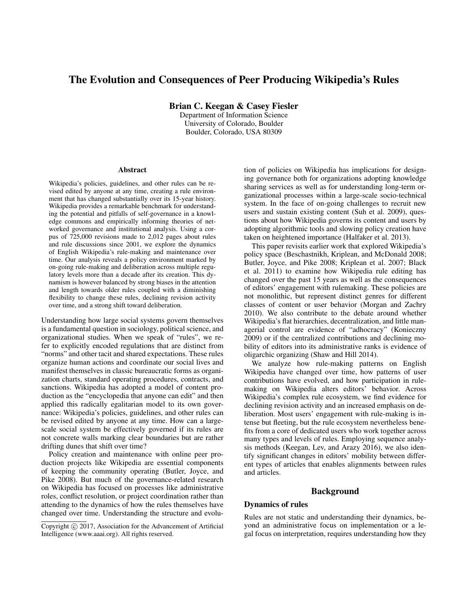# The Evolution and Consequences of Peer Producing Wikipedia's Rules

Brian C. Keegan & Casey Fiesler

Department of Information Science University of Colorado, Boulder Boulder, Colorado, USA 80309

#### **Abstract**

Wikipedia's policies, guidelines, and other rules can be revised edited by anyone at any time, creating a rule environment that has changed substantially over its 15-year history. Wikipedia provides a remarkable benchmark for understanding the potential and pitfalls of self-governance in a knowledge commons and empirically informing theories of networked governance and institutional analysis. Using a corpus of 725,000 revisions made to 2,012 pages about rules and rule discussions since 2001, we explore the dynamics of English Wikipedia's rule-making and maintenance over time. Our analysis reveals a policy environment marked by on-going rule-making and deliberation across multiple regulatory levels more than a decade after its creation. This dynamism is however balanced by strong biases in the attention and length towards older rules coupled with a diminishing flexibility to change these rules, declining revision activity over time, and a strong shift toward deliberation.

Understanding how large social systems govern themselves is a fundamental question in sociology, political science, and organizational studies. When we speak of "rules", we refer to explicitly encoded regulations that are distinct from "norms" and other tacit and shared expectations. These rules organize human actions and coordinate our social lives and manifest themselves in classic bureaucratic forms as organization charts, standard operating procedures, contracts, and sanctions. Wikipedia has adopted a model of content production as the "encyclopedia that anyone can edit" and then applied this radically egalitarian model to its own governance: Wikipedia's policies, guidelines, and other rules can be revised edited by anyone at any time. How can a largescale social system be effectively governed if its rules are not concrete walls marking clear boundaries but are rather drifting dunes that shift over time?

Policy creation and maintenance with online peer production projects like Wikipedia are essential components of keeping the community operating (Butler, Joyce, and Pike 2008). But much of the governance-related research on Wikipedia has focused on processes like administrative roles, conflict resolution, or project coordination rather than attending to the dynamics of how the rules themselves have changed over time. Understanding the structure and evolu-

tion of policies on Wikipedia has implications for designing governance both for organizations adopting knowledge sharing services as well as for understanding long-term organizational processes within a large-scale socio-technical system. In the face of on-going challenges to recruit new users and sustain existing content (Suh et al. 2009), questions about how Wikipedia governs its content and users by adopting algorithmic tools and slowing policy creation have taken on heightened importance (Halfaker et al. 2013).

This paper revisits earlier work that explored Wikipedia's policy space (Beschastnikh, Kriplean, and McDonald 2008; Butler, Joyce, and Pike 2008; Kriplean et al. 2007; Black et al. 2011) to examine how Wikipedia rule editing has changed over the past 15 years as well as the consequences of editors' engagement with rulemaking. These policies are not monolithic, but represent distinct genres for different classes of content or user behavior (Morgan and Zachry 2010). We also contribute to the debate around whether Wikipedia's flat hierarchies, decentralization, and little managerial control are evidence of "adhocracy" (Konieczny 2009) or if the centralized contributions and declining mobility of editors into its administrative ranks is evidence of oligarchic organizing (Shaw and Hill 2014).

We analyze how rule-making patterns on English Wikipedia have changed over time, how patterns of user contributions have evolved, and how participation in rulemaking on Wikipedia alters editors' behavior. Across Wikipedia's complex rule ecosystem, we find evidence for declining revision activity and an increased emphasis on deliberation. Most users' engagement with rule-making is intense but fleeting, but the rule ecosystem nevertheless benefits from a core of dedicated users who work together across many types and levels of rules. Employing sequence analysis methods (Keegan, Lev, and Arazy 2016), we also identify significant changes in editors' mobility between different types of articles that enables alignments between rules and articles.

## Background

# Dynamics of rules

Rules are not static and understanding their dynamics, beyond an administrative focus on implementation or a legal focus on interpretation, requires understanding how they

Copyright (c) 2017, Association for the Advancement of Artificial Intelligence (www.aaai.org). All rights reserved.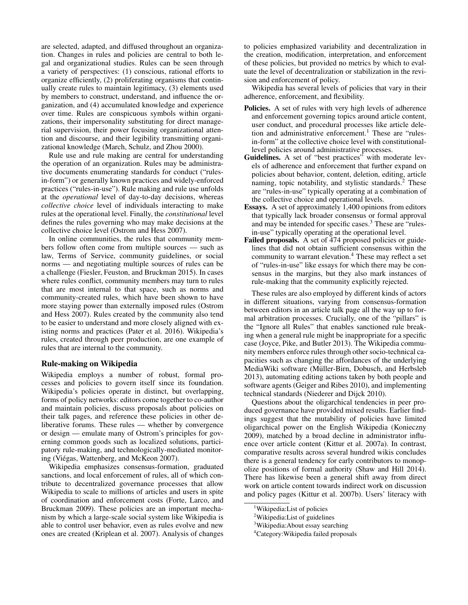are selected, adapted, and diffused throughout an organization. Changes in rules and policies are central to both legal and organizational studies. Rules can be seen through a variety of perspectives: (1) conscious, rational efforts to organize efficiently, (2) proliferating organisms that continually create rules to maintain legitimacy, (3) elements used by members to construct, understand, and influence the organization, and (4) accumulated knowledge and experience over time. Rules are conspicuous symbols within organizations, their impersonality substituting for direct managerial supervision, their power focusing organizational attention and discourse, and their legibility transmitting organizational knowledge (March, Schulz, and Zhou 2000).

Rule use and rule making are central for understanding the operation of an organization. Rules may be administrative documents enumerating standards for conduct ("rulesin-form") or generally known practices and widely-enforced practices ("rules-in-use"). Rule making and rule use unfolds at the *operational* level of day-to-day decisions, whereas *collective choice* level of individuals interacting to make rules at the operational level. Finally, the *constitutional* level defines the rules governing who may make decisions at the collective choice level (Ostrom and Hess 2007).

In online communities, the rules that community members follow often come from multiple sources — such as law, Terms of Service, community guidelines, or social norms — and negotiating multiple sources of rules can be a challenge (Fiesler, Feuston, and Bruckman 2015). In cases where rules conflict, community members may turn to rules that are most internal to that space, such as norms and community-created rules, which have been shown to have more staying power than externally imposed rules (Ostrom and Hess 2007). Rules created by the community also tend to be easier to understand and more closely aligned with existing norms and practices (Pater et al. 2016). Wikipedia's rules, created through peer production, are one example of rules that are internal to the community.

#### Rule-making on Wikipedia

Wikipedia employs a number of robust, formal processes and policies to govern itself since its foundation. Wikipedia's policies operate in distinct, but overlapping, forms of policy networks: editors come together to co-author and maintain policies, discuss proposals about policies on their talk pages, and reference these policies in other deliberative forums. These rules — whether by convergence or design — emulate many of Ostrom's principles for governing common goods such as localized solutions, participatory rule-making, and technologically-mediated monitoring (Viégas, Wattenberg, and McKeon 2007).

Wikipedia emphasizes consensus-formation, graduated sanctions, and local enforcement of rules, all of which contribute to decentralized governance processes that allow Wikipedia to scale to millions of articles and users in spite of coordination and enforcement costs (Forte, Larco, and Bruckman 2009). These policies are an important mechanism by which a large-scale social system like Wikipedia is able to control user behavior, even as rules evolve and new ones are created (Kriplean et al. 2007). Analysis of changes

to policies emphasized variability and decentralization in the creation, modification, interpretation, and enforcement of these policies, but provided no metrics by which to evaluate the level of decentralization or stabilization in the revision and enforcement of policy.

Wikipedia has several levels of policies that vary in their adherence, enforcement, and flexibility.

- Policies. A set of rules with very high levels of adherence and enforcement governing topics around article content, user conduct, and procedural processes like article deletion and administrative enforcement.<sup>1</sup> These are "rulesin-form" at the collective choice level with constitutionallevel policies around administrative processes.
- Guidelines. A set of "best practices" with moderate levels of adherence and enforcement that further expand on policies about behavior, content, deletion, editing, article naming, topic notability, and stylistic standards.<sup>2</sup> These are "rules-in-use" typically operating at a combination of the collective choice and operational levels.
- Essays. A set of approximately 1,400 opinions from editors that typically lack broader consensus or formal approval and may be intended for specific cases.<sup>3</sup> These are "rulesin-use" typically operating at the operational level.
- Failed proposals. A set of 474 proposed policies or guidelines that did not obtain sufficient consensus within the community to warrant elevation.<sup>4</sup> These may reflect a set of "rules-in-use" like essays for which there may be consensus in the margins, but they also mark instances of rule-making that the community explicitly rejected.

These rules are also employed by different kinds of actors in different situations, varying from consensus-formation between editors in an article talk page all the way up to formal arbitration processes. Crucially, one of the "pillars" is the "Ignore all Rules" that enables sanctioned rule breaking when a general rule might be inappropriate for a specific case (Joyce, Pike, and Butler 2013). The Wikipedia community members enforce rules through other socio-technical capacities such as changing the affordances of the underlying MediaWiki software (Müller-Birn, Dobusch, and Herbsleb 2013), automating editing actions taken by both people and software agents (Geiger and Ribes 2010), and implementing technical standards (Niederer and Dijck 2010).

Questions about the oligarchical tendencies in peer produced governance have provided mixed results. Earlier findings suggest that the mutability of policies have limited oligarchical power on the English Wikipedia (Konieczny 2009), matched by a broad decline in administrator influence over article content (Kittur et al. 2007a). In contrast, comparative results across several hundred wikis concludes there is a general tendency for early contributors to monopolize positions of formal authority (Shaw and Hill 2014). There has likewise been a general shift away from direct work on article content towards indirect work on discussion and policy pages (Kittur et al. 2007b). Users' literacy with

<sup>&</sup>lt;sup>1</sup>Wikipedia: List of policies

<sup>&</sup>lt;sup>2</sup>Wikipedia:List of guidelines

<sup>&</sup>lt;sup>3</sup>Wikipedia: About essay searching

<sup>4</sup>Category:Wikipedia failed proposals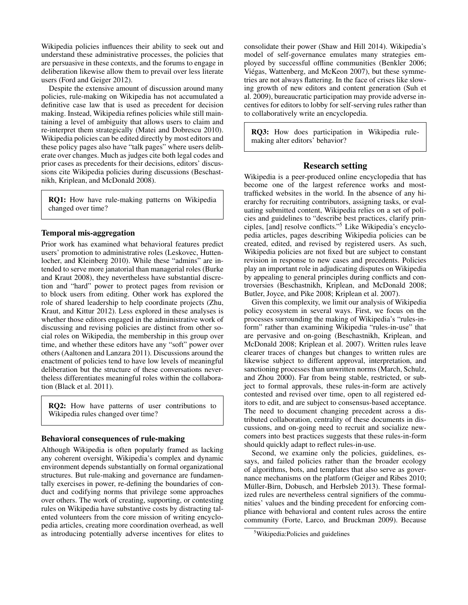Wikipedia policies influences their ability to seek out and understand these administrative processes, the policies that are persuasive in these contexts, and the forums to engage in deliberation likewise allow them to prevail over less literate users (Ford and Geiger 2012).

Despite the extensive amount of discussion around many policies, rule-making on Wikipedia has not accumulated a definitive case law that is used as precedent for decision making. Instead, Wikipedia refines policies while still maintaining a level of ambiguity that allows users to claim and re-interpret them strategically (Matei and Dobrescu 2010). Wikipedia policies can be edited directly by most editors and these policy pages also have "talk pages" where users deliberate over changes. Much as judges cite both legal codes and prior cases as precedents for their decisions, editors' discussions cite Wikipedia policies during discussions (Beschastnikh, Kriplean, and McDonald 2008).

RQ1: How have rule-making patterns on Wikipedia changed over time?

## Temporal mis-aggregation

Prior work has examined what behavioral features predict users' promotion to administrative roles (Leskovec, Huttenlocher, and Kleinberg 2010). While these "admins" are intended to serve more janatorial than managerial roles (Burke and Kraut 2008), they nevertheless have substantial discretion and "hard" power to protect pages from revision or to block users from editing. Other work has explored the role of shared leadership to help coordinate projects (Zhu, Kraut, and Kittur 2012). Less explored in these analyses is whether those editors engaged in the administrative work of discussing and revising policies are distinct from other social roles on Wikipedia, the membership in this group over time, and whether these editors have any "soft" power over others (Aaltonen and Lanzara 2011). Discussions around the enactment of policies tend to have low levels of meaningful deliberation but the structure of these conversations nevertheless differentiates meaningful roles within the collaboration (Black et al. 2011).

RQ2: How have patterns of user contributions to Wikipedia rules changed over time?

## Behavioral consequences of rule-making

Although Wikipedia is often popularly framed as lacking any coherent oversight, Wikipedia's complex and dynamic environment depends substantially on formal organizational structures. But rule-making and governance are fundamentally exercises in power, re-defining the boundaries of conduct and codifying norms that privilege some approaches over others. The work of creating, supporting, or contesting rules on Wikipedia have substantive costs by distracting talented volunteers from the core mission of writing encyclopedia articles, creating more coordination overhead, as well as introducing potentially adverse incentives for elites to

consolidate their power (Shaw and Hill 2014). Wikipedia's model of self-governance emulates many strategies employed by successful offline communities (Benkler 2006; Viégas, Wattenberg, and McKeon 2007), but these symmetries are not always flattering. In the face of crises like slowing growth of new editors and content generation (Suh et al. 2009), bureaucratic participation may provide adverse incentives for editors to lobby for self-serving rules rather than to collaboratively write an encyclopedia.

RQ3: How does participation in Wikipedia rulemaking alter editors' behavior?

# Research setting

Wikipedia is a peer-produced online encyclopedia that has become one of the largest reference works and mosttrafficked websites in the world. In the absence of any hierarchy for recruiting contributors, assigning tasks, or evaluating submitted content, Wikipedia relies on a set of policies and guidelines to "describe best practices, clarify principles, [and] resolve conflicts."<sup>5</sup> Like Wikipedia's encyclopedia articles, pages describing Wikipedia policies can be created, edited, and revised by registered users. As such, Wikipedia policies are not fixed but are subject to constant revision in response to new cases and precedents. Policies play an important role in adjudicating disputes on Wikipedia by appealing to general principles during conflicts and controversies (Beschastnikh, Kriplean, and McDonald 2008; Butler, Joyce, and Pike 2008; Kriplean et al. 2007).

Given this complexity, we limit our analysis of Wikipedia policy ecosystem in several ways. First, we focus on the processes surrounding the making of Wikipedia's "rules-inform" rather than examining Wikipedia "rules-in-use" that are pervasive and on-going (Beschastnikh, Kriplean, and McDonald 2008; Kriplean et al. 2007). Written rules leave clearer traces of changes but changes to written rules are likewise subject to different approval, interpretation, and sanctioning processes than unwritten norms (March, Schulz, and Zhou 2000). Far from being stable, restricted, or subject to formal approvals, these rules-in-form are actively contested and revised over time, open to all registered editors to edit, and are subject to consensus-based acceptance. The need to document changing precedent across a distributed collaboration, centrality of these documents in discussions, and on-going need to recruit and socialize newcomers into best practices suggests that these rules-in-form should quickly adapt to reflect rules-in-use.

Second, we examine only the policies, guidelines, essays, and failed policies rather than the broader ecology of algorithms, bots, and templates that also serve as governance mechanisms on the platform (Geiger and Ribes 2010; Müller-Birn, Dobusch, and Herbsleb 2013). These formalized rules are nevertheless central signifiers of the communities' values and the binding precedent for enforcing compliance with behavioral and content rules across the entire community (Forte, Larco, and Bruckman 2009). Because

<sup>5</sup>Wikipedia:Policies and guidelines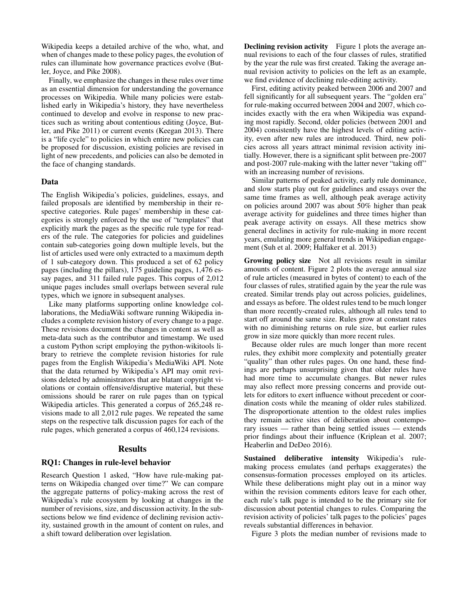Wikipedia keeps a detailed archive of the who, what, and when of changes made to these policy pages, the evolution of rules can illuminate how governance practices evolve (Butler, Joyce, and Pike 2008).

Finally, we emphasize the changes in these rules over time as an essential dimension for understanding the governance processes on Wikipedia. While many policies were established early in Wikipedia's history, they have nevertheless continued to develop and evolve in response to new practices such as writing about contentious editing (Joyce, Butler, and Pike 2011) or current events (Keegan 2013). There is a "life cycle" to policies in which entire new policies can be proposed for discussion, existing policies are revised in light of new precedents, and policies can also be demoted in the face of changing standards.

## Data

The English Wikipedia's policies, guidelines, essays, and failed proposals are identified by membership in their respective categories. Rule pages' membership in these categories is strongly enforced by the use of "templates" that explicitly mark the pages as the specific rule type for readers of the rule. The categories for policies and guidelines contain sub-categories going down multiple levels, but the list of articles used were only extracted to a maximum depth of 1 sub-category down. This produced a set of 62 policy pages (including the pillars), 175 guideline pages, 1,476 essay pages, and 311 failed rule pages. This corpus of 2,012 unique pages includes small overlaps between several rule types, which we ignore in subsequent analyses.

Like many platforms supporting online knowledge collaborations, the MediaWiki software running Wikipedia includes a complete revision history of every change to a page. These revisions document the changes in content as well as meta-data such as the contributor and timestamp. We used a custom Python script employing the python-wikitools library to retrieve the complete revision histories for rule pages from the English Wikipedia's MediaWiki API. Note that the data returned by Wikipedia's API may omit revisions deleted by administrators that are blatant copyright violations or contain offensive/disruptive material, but these omissions should be rarer on rule pages than on typical Wikipedia articles. This generated a corpus of 265,248 revisions made to all 2,012 rule pages. We repeated the same steps on the respective talk discussion pages for each of the rule pages, which generated a corpus of 460,124 revisions.

#### Results

## RQ1: Changes in rule-level behavior

Research Question 1 asked, "How have rule-making patterns on Wikipedia changed over time?" We can compare the aggregate patterns of policy-making across the rest of Wikipedia's rule ecosystem by looking at changes in the number of revisions, size, and discussion activity. In the subsections below we find evidence of declining revision activity, sustained growth in the amount of content on rules, and a shift toward deliberation over legislation.

Declining revision activity Figure 1 plots the average annual revisions to each of the four classes of rules, stratified by the year the rule was first created. Taking the average annual revision activity to policies on the left as an example, we find evidence of declining rule-editing activity.

First, editing activity peaked between 2006 and 2007 and fell significantly for all subsequent years. The "golden era" for rule-making occurred between 2004 and 2007, which coincides exactly with the era when Wikipedia was expanding most rapidly. Second, older policies (between 2001 and 2004) consistently have the highest levels of editing activity, even after new rules are introduced. Third, new policies across all years attract minimal revision activity initially. However, there is a significant split between pre-2007 and post-2007 rule-making with the latter never "taking off" with an increasing number of revisions.

Similar patterns of peaked activity, early rule dominance, and slow starts play out for guidelines and essays over the same time frames as well, although peak average activity on policies around 2007 was about 50% higher than peak average activity for guidelines and three times higher than peak average activity on essays. All these metrics show general declines in activity for rule-making in more recent years, emulating more general trends in Wikipedian engagement (Suh et al. 2009; Halfaker et al. 2013)

Growing policy size Not all revisions result in similar amounts of content. Figure 2 plots the average annual size of rule articles (measured in bytes of content) to each of the four classes of rules, stratified again by the year the rule was created. Similar trends play out across policies, guidelines, and essays as before. The oldest rules tend to be much longer than more recently-created rules, although all rules tend to start off around the same size. Rules grow at constant rates with no diminishing returns on rule size, but earlier rules grow in size more quickly than more recent rules.

Because older rules are much longer than more recent rules, they exhibit more complexity and potentially greater "quality" than other rules pages. On one hand, these findings are perhaps unsurprising given that older rules have had more time to accumulate changes. But newer rules may also reflect more pressing concerns and provide outlets for editors to exert influence without precedent or coordination costs while the meaning of older rules stabilized. The disproportionate attention to the oldest rules implies they remain active sites of deliberation about contemporary issues — rather than being settled issues — extends prior findings about their influence (Kriplean et al. 2007; Heaberlin and DeDeo 2016).

Sustained deliberative intensity Wikipedia's rulemaking process emulates (and perhaps exaggerates) the consensus-formation processes employed on its articles. While these deliberations might play out in a minor way within the revision comments editors leave for each other, each rule's talk page is intended to be the primary site for discussion about potential changes to rules. Comparing the revision activity of policies' talk pages to the policies' pages reveals substantial differences in behavior.

Figure 3 plots the median number of revisions made to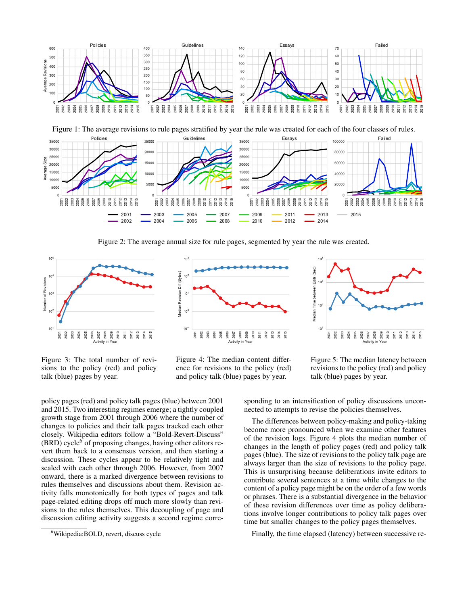

Figure 1: The average revisions to rule pages stratified by year the rule was created for each of the four classes of rules.



Figure 2: The average annual size for rule pages, segmented by year the rule was created.

 $10^3$ 







Figure 3: The total number of revisions to the policy (red) and policy Example 1 and  $\frac{1}{2}$  and  $\frac{1}{2}$  and  $\frac{1}{2}$  and  $\frac{1}{2}$  and  $\frac{1}{2}$  and  $\frac{1}{2}$  and  $\frac{1}{2}$  and  $\frac{1}{2}$  and  $\frac{1}{2}$  and  $\frac{1}{2}$  and  $\frac{1}{2}$  and  $\frac{1}{2}$  and  $\frac{1}{2}$  and  $\frac{1}{2}$  and  $\frac{1}{2}$  a



Figure 5: The median latency between revisions to the policy (red) and policy talk (blue) pages by year.

policy pages (red) and policy talk pages (blue) between 2001 and 2015. Two interesting regimes emerge; a tightly coupled growth stage from 2001 through 2006 where the number of changes to policies and their talk pages tracked each other closely. Wikipedia editors follow a "Bold-Revert-Discuss"  $(BRD)$  cycle<sup>6</sup> of proposing changes, having other editors revert them back to a consensus version, and then starting a discussion. These cycles appear to be relatively tight and scaled with each other through 2006. However, from 2007 onward, there is a marked divergence between revisions to rules themselves and discussions about them. Revision activity falls monotonically for both types of pages and talk page-related editing drops off much more slowly than revisions to the rules themselves. This decoupling of page and discussion editing activity suggests a second regime corre-

sponding to an intensification of policy discussions unconnected to attempts to revise the policies themselves.

The differences between policy-making and policy-taking become more pronounced when we examine other features of the revision logs. Figure 4 plots the median number of changes in the length of policy pages (red) and policy talk pages (blue). The size of revisions to the policy talk page are always larger than the size of revisions to the policy page. This is unsurprising because deliberations invite editors to contribute several sentences at a time while changes to the content of a policy page might be on the order of a few words or phrases. There is a substantial divergence in the behavior of these revision differences over time as policy deliberations involve longer contributions to policy talk pages over time but smaller changes to the policy pages themselves.

Finally, the time elapsed (latency) between successive re-

Wikipedia:BOLD, revert, discuss cycle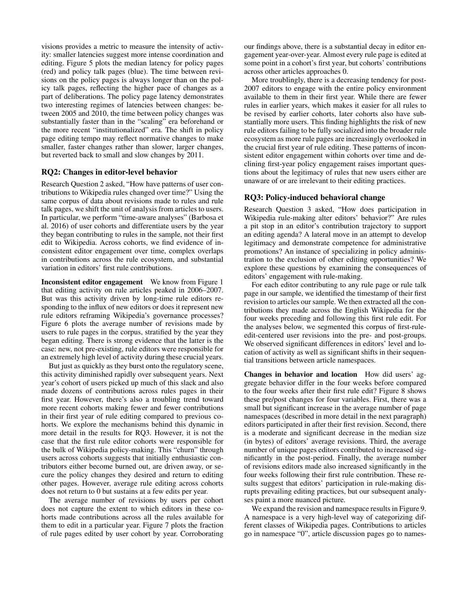visions provides a metric to measure the intensity of activity: smaller latencies suggest more intense coordination and editing. Figure 5 plots the median latency for policy pages (red) and policy talk pages (blue). The time between revisions on the policy pages is always longer than on the policy talk pages, reflecting the higher pace of changes as a part of deliberations. The policy page latency demonstrates two interesting regimes of latencies between changes: between 2005 and 2010, the time between policy changes was substantially faster than in the "scaling" era beforehand or the more recent "institutionalized" era. The shift in policy page editing tempo may reflect normative changes to make smaller, faster changes rather than slower, larger changes, but reverted back to small and slow changes by 2011.

# RQ2: Changes in editor-level behavior

Research Question 2 asked, "How have patterns of user contributions to Wikipedia rules changed over time?" Using the same corpus of data about revisions made to rules and rule talk pages, we shift the unit of analysis from articles to users. In particular, we perform "time-aware analyses" (Barbosa et al. 2016) of user cohorts and differentiate users by the year they began contributing to rules in the sample, not their first edit to Wikipedia. Across cohorts, we find evidence of inconsistent editor engagement over time, complex overlaps in contributions across the rule ecosystem, and substantial variation in editors' first rule contributions.

Inconsistent editor engagement We know from Figure 1 that editing activity on rule articles peaked in 2006–2007. But was this activity driven by long-time rule editors responding to the influx of new editors or does it represent new rule editors reframing Wikipedia's governance processes? Figure 6 plots the average number of revisions made by users to rule pages in the corpus, stratified by the year they began editing. There is strong evidence that the latter is the case: new, not pre-existing, rule editors were responsible for an extremely high level of activity during these crucial years.

But just as quickly as they burst onto the regulatory scene, this activity diminished rapidly over subsequent years. Next year's cohort of users picked up much of this slack and also made dozens of contributions across rules pages in their first year. However, there's also a troubling trend toward more recent cohorts making fewer and fewer contributions in their first year of rule editing compared to previous cohorts. We explore the mechanisms behind this dynamic in more detail in the results for RQ3. However, it is not the case that the first rule editor cohorts were responsible for the bulk of Wikipedia policy-making. This "churn" through users across cohorts suggests that initially enthusiastic contributors either become burned out, are driven away, or secure the policy changes they desired and return to editing other pages. However, average rule editing across cohorts does not return to 0 but sustains at a few edits per year.

The average number of revisions by users per cohort does not capture the extent to which editors in these cohorts made contributions across all the rules available for them to edit in a particular year. Figure 7 plots the fraction of rule pages edited by user cohort by year. Corroborating

our findings above, there is a substantial decay in editor engagement year-over-year. Almost every rule page is edited at some point in a cohort's first year, but cohorts' contributions across other articles approaches 0.

More troublingly, there is a decreasing tendency for post-2007 editors to engage with the entire policy environment available to them in their first year. While there are fewer rules in earlier years, which makes it easier for all rules to be revised by earlier cohorts, later cohorts also have substantially more users. This finding highlights the risk of new rule editors failing to be fully socialized into the broader rule ecosystem as more rule pages are increasingly overlooked in the crucial first year of rule editing. These patterns of inconsistent editor engagement within cohorts over time and declining first-year policy engagement raises important questions about the legitimacy of rules that new users either are unaware of or are irrelevant to their editing practices.

### RQ3: Policy-induced behavioral change

Research Question 3 asked, "How does participation in Wikipedia rule-making alter editors' behavior?" Are rules a pit stop in an editor's contribution trajectory to support an editing agenda? A lateral move in an attempt to develop legitimacy and demonstrate competence for administrative promotions? An instance of specializing in policy administration to the exclusion of other editing opportunities? We explore these questions by examining the consequences of editors' engagement with rule-making.

For each editor contributing to any rule page or rule talk page in our sample, we identified the timestamp of their first revision to articles our sample. We then extracted all the contributions they made across the English Wikipedia for the four weeks preceding and following this first rule edit. For the analyses below, we segmented this corpus of first-ruleedit-centered user revisions into the pre- and post-groups. We observed significant differences in editors' level and location of activity as well as significant shifts in their sequential transitions between article namespaces.

Changes in behavior and location How did users' aggregate behavior differ in the four weeks before compared to the four weeks after their first rule edit? Figure 8 shows these pre/post changes for four variables. First, there was a small but significant increase in the average number of page namespaces (described in more detail in the next paragraph) editors participated in after their first revision. Second, there is a moderate and significant decrease in the median size (in bytes) of editors' average revisions. Third, the average number of unique pages editors contributed to increased significantly in the post-period. Finally, the average number of revisions editors made also increased significantly in the four weeks following their first rule contribution. These results suggest that editors' participation in rule-making disrupts prevailing editing practices, but our subsequent analyses paint a more nuanced picture.

We expand the revision and namespace results in Figure 9. A namespace is a very high-level way of categorizing different classes of Wikipedia pages. Contributions to articles go in namespace "0", article discussion pages go to names-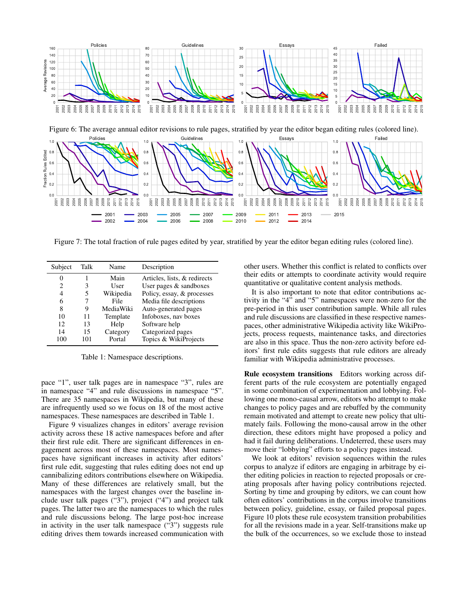



Figure 7: The total fraction of rule pages edited by year, stratified by year the editor began editing rules (colored line).

| Subject | Talk | Name      | Description                  |
|---------|------|-----------|------------------------------|
| 0       |      | Main      | Articles, lists, & redirects |
| 2       | 3    | User      | User pages $&$ sandboxes     |
| 4       | 5    | Wikipedia | Policy, essay, & processes   |
| 6       |      | File      | Media file descriptions      |
| 8       | 9    | MediaWiki | Auto-generated pages         |
| 10      | 11   | Template  | Infoboxes, nav boxes         |
| 12      | 13   | Help      | Software help                |
| 14      | 15   | Category  | Categorized pages            |
| 100     | 101  | Portal    | Topics & WikiProjects        |

Table 1: Namespace descriptions.

pace "1", user talk pages are in namespace "3", rules are in namespace "4" and rule discussions in namespace "5". There are 35 namespaces in Wikipedia, but many of these are infrequently used so we focus on 18 of the most active namespaces. These namespaces are described in Table 1.

Figure 9 visualizes changes in editors' average revision activity across these 18 active namespaces before and after their first rule edit. There are significant differences in engagement across most of these namespaces. Most namespaces have significant increases in activity after editors' first rule edit, suggesting that rules editing does not end up cannibalizing editors contributions elsewhere on Wikipedia. Many of these differences are relatively small, but the namespaces with the largest changes over the baseline include user talk pages ("3"), project ("4") and project talk pages. The latter two are the namespaces to which the rules and rule discussions belong. The large post-hoc increase in activity in the user talk namespace ("3") suggests rule editing drives them towards increased communication with

other users. Whether this conflict is related to conflicts over their edits or attempts to coordinate activity would require quantitative or qualitative content analysis methods.

It is also important to note that editor contributions activity in the "4" and "5" namespaces were non-zero for the pre-period in this user contribution sample. While all rules and rule discussions are classified in these respective namespaces, other administrative Wikipedia activity like WikiProjects, process requests, maintenance tasks, and directories are also in this space. Thus the non-zero activity before editors' first rule edits suggests that rule editors are already familiar with Wikipedia administrative processes.

Rule ecosystem transitions Editors working across different parts of the rule ecosystem are potentially engaged in some combination of experimentation and lobbying. Following one mono-causal arrow, editors who attempt to make changes to policy pages and are rebuffed by the community remain motivated and attempt to create new policy that ultimately fails. Following the mono-causal arrow in the other direction, these editors might have proposed a policy and had it fail during deliberations. Undeterred, these users may move their "lobbying" efforts to a policy pages instead.

We look at editors' revision sequences within the rules corpus to analyze if editors are engaging in arbitrage by either editing policies in reaction to rejected proposals or creating proposals after having policy contributions rejected. Sorting by time and grouping by editors, we can count how often editors' contributions in the corpus involve transitions between policy, guideline, essay, or failed proposal pages. Figure 10 plots these rule ecosystem transition probabilities for all the revisions made in a year. Self-transitions make up the bulk of the occurrences, so we exclude those to instead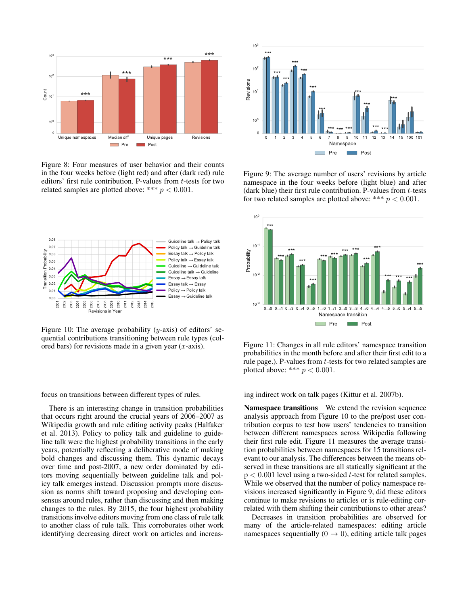

Figure 8: Four measures of user behavior and their counts in the four weeks before (light red) and after (dark red) rule editors' first rule contribution. P-values from t-tests for two related samples are plotted above: \*\*\*  $p < 0.001$ .



Figure 10: The average probability  $(y\text{-axis})$  of editors' sequential contributions transitioning between rule types (colored bars) for revisions made in a given year  $(x$ -axis).

focus on transitions between different types of rules.

There is an interesting change in transition probabilities that occurs right around the crucial years of 2006–2007 as Wikipedia growth and rule editing activity peaks (Halfaker et al. 2013). Policy to policy talk and guideline to guideline talk were the highest probability transitions in the early years, potentially reflecting a deliberative mode of making bold changes and discussing them. This dynamic decays over time and post-2007, a new order dominated by editors moving sequentially between guideline talk and policy talk emerges instead. Discussion prompts more discussion as norms shift toward proposing and developing consensus around rules, rather than discussing and then making changes to the rules. By 2015, the four highest probability transitions involve editors moving from one class of rule talk to another class of rule talk. This corroborates other work identifying decreasing direct work on articles and increas-



Figure 9: The average number of users' revisions by article namespace in the four weeks before (light blue) and after (dark blue) their first rule contribution. P-values from  $t$ -tests for two related samples are plotted above: \*\*\*  $p < 0.001$ .



Figure 11: Changes in all rule editors' namespace transition probabilities in the month before and after their first edit to a rule page.). P-values from t-tests for two related samples are plotted above: \*\*\*  $p < 0.001$ .

ing indirect work on talk pages (Kittur et al. 2007b).

Namespace transitions We extend the revision sequence analysis approach from Figure 10 to the pre/post user contribution corpus to test how users' tendencies to transition between different namespaces across Wikipedia following their first rule edit. Figure 11 measures the average transition probabilities between namespaces for 15 transitions relevant to our analysis. The differences between the means observed in these transitions are all statically significant at the  $p < 0.001$  level using a two-sided t-test for related samples. While we observed that the number of policy namespace revisions increased significantly in Figure 9, did these editors continue to make revisions to articles or is rule-editing correlated with them shifting their contributions to other areas?

Decreases in transition probabilities are observed for many of the article-related namespaces: editing article namespaces sequentially  $(0 \rightarrow 0)$ , editing article talk pages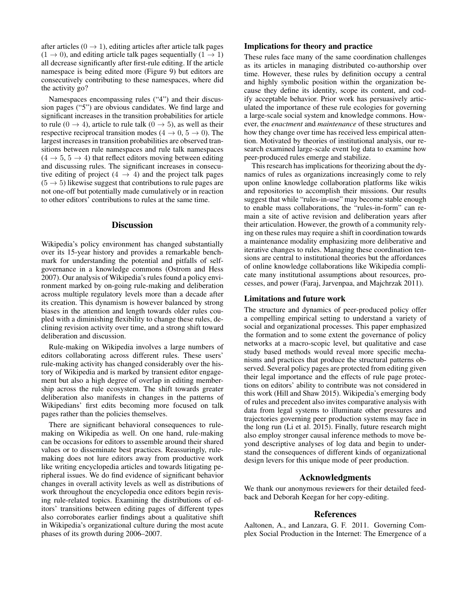after articles ( $0 \rightarrow 1$ ), editing articles after article talk pages  $(1 \rightarrow 0)$ , and editing article talk pages sequentially  $(1 \rightarrow 1)$ all decrease significantly after first-rule editing. If the article namespace is being edited more (Figure 9) but editors are consecutively contributing to these namespaces, where did the activity go?

Namespaces encompassing rules ("4") and their discussion pages ("5") are obvious candidates. We find large and significant increases in the transition probabilities for article to rule (0  $\rightarrow$  4), article to rule talk (0  $\rightarrow$  5), as well as their respective reciprocal transition modes ( $4 \rightarrow 0, 5 \rightarrow 0$ ). The largest increases in transition probabilities are observed transitions between rule namespaces and rule talk namespaces  $(4 \rightarrow 5, 5 \rightarrow 4)$  that reflect editors moving between editing and discussing rules. The significant increases in consecutive editing of project  $(4 \rightarrow 4)$  and the project talk pages  $(5 \rightarrow 5)$  likewise suggest that contributions to rule pages are not one-off but potentially made cumulatively or in reaction to other editors' contributions to rules at the same time.

# **Discussion**

Wikipedia's policy environment has changed substantially over its 15-year history and provides a remarkable benchmark for understanding the potential and pitfalls of selfgovernance in a knowledge commons (Ostrom and Hess 2007). Our analysis of Wikipedia's rules found a policy environment marked by on-going rule-making and deliberation across multiple regulatory levels more than a decade after its creation. This dynamism is however balanced by strong biases in the attention and length towards older rules coupled with a diminishing flexibility to change these rules, declining revision activity over time, and a strong shift toward deliberation and discussion.

Rule-making on Wikipedia involves a large numbers of editors collaborating across different rules. These users' rule-making activity has changed considerably over the history of Wikipedia and is marked by transient editor engagement but also a high degree of overlap in editing membership across the rule ecosystem. The shift towards greater deliberation also manifests in changes in the patterns of Wikipedians' first edits becoming more focused on talk pages rather than the policies themselves.

There are significant behavioral consequences to rulemaking on Wikipedia as well. On one hand, rule-making can be occasions for editors to assemble around their shared values or to disseminate best practices. Reassuringly, rulemaking does not lure editors away from productive work like writing encyclopedia articles and towards litigating peripheral issues. We do find evidence of significant behavior changes in overall activity levels as well as distributions of work throughout the encyclopedia once editors begin revising rule-related topics. Examining the distributions of editors' transitions between editing pages of different types also corroborates earlier findings about a qualitative shift in Wikipedia's organizational culture during the most acute phases of its growth during 2006–2007.

# Implications for theory and practice

These rules face many of the same coordination challenges as its articles in managing distributed co-authorship over time. However, these rules by definition occupy a central and highly symbolic position within the organization because they define its identity, scope its content, and codify acceptable behavior. Prior work has persuasively articulated the importance of these rule ecologies for governing a large-scale social system and knowledge commons. However, the *enactment* and *maintenance* of these structures and how they change over time has received less empirical attention. Motivated by theories of institutional analysis, our research examined large-scale event log data to examine how peer-produced rules emerge and stabilize.

This research has implications for theorizing about the dynamics of rules as organizations increasingly come to rely upon online knowledge collaboration platforms like wikis and repositories to accomplish their missions. Our results suggest that while "rules-in-use" may become stable enough to enable mass collaborations, the "rules-in-form" can remain a site of active revision and deliberation years after their articulation. However, the growth of a community relying on these rules may require a shift in coordination towards a maintenance modality emphasizing more deliberative and iterative changes to rules. Managing these coordination tensions are central to institutional theories but the affordances of online knowledge collaborations like Wikipedia complicate many institutional assumptions about resources, processes, and power (Faraj, Jarvenpaa, and Majchrzak 2011).

# Limitations and future work

The structure and dynamics of peer-produced policy offer a compelling empirical setting to understand a variety of social and organizational processes. This paper emphasized the formation and to some extent the governance of policy networks at a macro-scopic level, but qualitative and case study based methods would reveal more specific mechanisms and practices that produce the structural patterns observed. Several policy pages are protected from editing given their legal importance and the effects of rule page protections on editors' ability to contribute was not considered in this work (Hill and Shaw 2015). Wikipedia's emerging body of rules and precedent also invites comparative analysis with data from legal systems to illuminate other pressures and trajectories governing peer production systems may face in the long run (Li et al. 2015). Finally, future research might also employ stronger causal inference methods to move beyond descriptive analyses of log data and begin to understand the consequences of different kinds of organizational design levers for this unique mode of peer production.

# Acknowledgments

We thank our anonymous reviewers for their detailed feedback and Deborah Keegan for her copy-editing.

## References

Aaltonen, A., and Lanzara, G. F. 2011. Governing Complex Social Production in the Internet: The Emergence of a